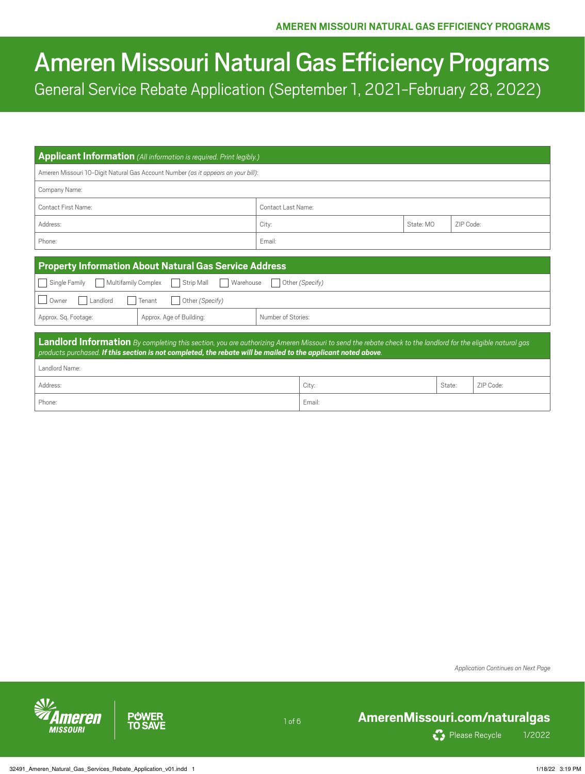# Ameren Missouri Natural Gas Efficiency Programs General Service Rebate Application (September 1, 2021-February 28, 2022)

|                                                                                                                                                                                                                                                                             | <b>Applicant Information</b> (All information is required. Print legibly.) |  |           |           |  |
|-----------------------------------------------------------------------------------------------------------------------------------------------------------------------------------------------------------------------------------------------------------------------------|----------------------------------------------------------------------------|--|-----------|-----------|--|
| Ameren Missouri 10-Digit Natural Gas Account Number (as it appears on your bill):                                                                                                                                                                                           |                                                                            |  |           |           |  |
| Company Name:                                                                                                                                                                                                                                                               |                                                                            |  |           |           |  |
| Contact First Name:                                                                                                                                                                                                                                                         | Contact Last Name:                                                         |  |           |           |  |
| Address:                                                                                                                                                                                                                                                                    | City:                                                                      |  | State: MO | ZIP Code: |  |
| Phone:                                                                                                                                                                                                                                                                      | Email:                                                                     |  |           |           |  |
|                                                                                                                                                                                                                                                                             |                                                                            |  |           |           |  |
| <b>Property Information About Natural Gas Service Address</b>                                                                                                                                                                                                               |                                                                            |  |           |           |  |
| Single Family<br>Multifamily Complex<br>Strip Mall<br>Warehouse<br>Other (Specify)                                                                                                                                                                                          |                                                                            |  |           |           |  |
| Owner<br>Other (Specify)<br>Landlord<br>Tenant                                                                                                                                                                                                                              |                                                                            |  |           |           |  |
| Approx. Age of Building:<br>Approx. Sq. Footage:                                                                                                                                                                                                                            | Number of Stories:                                                         |  |           |           |  |
| Landlord Information By completing this section, you are authorizing Ameren Missouri to send the rebate check to the landlord for the eligible natural gas<br>products purchased. If this section is not completed, the rebate will be mailed to the applicant noted above. |                                                                            |  |           |           |  |
| Landlord Name:                                                                                                                                                                                                                                                              |                                                                            |  |           |           |  |
| Address:<br>City:<br>ZIP Code:<br>State:                                                                                                                                                                                                                                    |                                                                            |  |           |           |  |
| Phone:<br>Email:                                                                                                                                                                                                                                                            |                                                                            |  |           |           |  |
|                                                                                                                                                                                                                                                                             |                                                                            |  |           |           |  |

1 of 6

*Application Continues on Next Page*



**PUWER TO SAVE** 

## **[AmerenMissouri.com/naturalgas](http://AmerenMissouri.com/naturalgas)**



Please Recycle 1/2022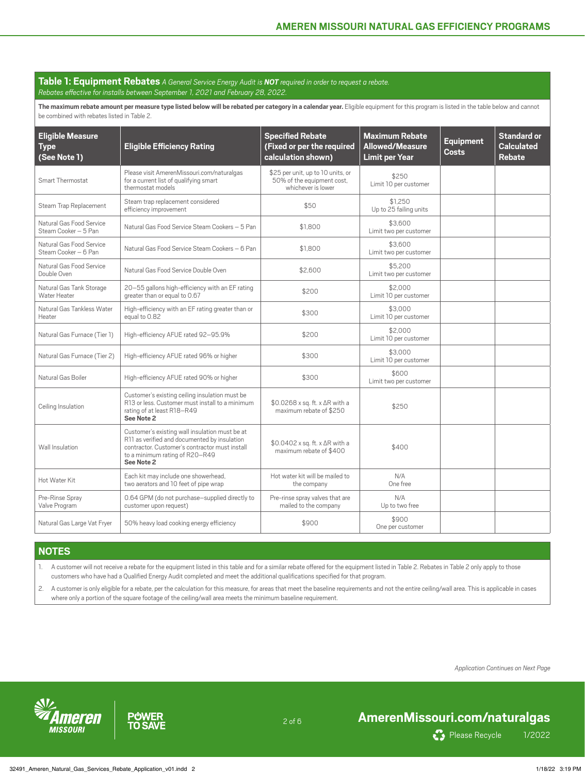## **Table 1: Equipment Rebates** *A General Service Energy Audit is NOT required in order to request a rebate.*

*Rebates effective for installs between September 1, 2021 and February 28, 2022.*

The maximum rebate amount per measure type listed below will be rebated per category in a calendar year. Eligible equipment for this program is listed in the table below and cannot be combined with rebates listed in Table 2.

| <b>Eligible Measure</b><br><b>Type</b><br>(See Note 1) | <b>Eligible Efficiency Rating</b>                                                                                                                                                                | <b>Specified Rebate</b><br>(Fixed or per the required<br>calculation shown)           | <b>Maximum Rebate</b><br><b>Allowed/Measure</b><br><b>Limit per Year</b> | <b>Equipment</b><br><b>Costs</b> | <b>Standard or</b><br><b>Calculated</b><br><b>Rebate</b> |
|--------------------------------------------------------|--------------------------------------------------------------------------------------------------------------------------------------------------------------------------------------------------|---------------------------------------------------------------------------------------|--------------------------------------------------------------------------|----------------------------------|----------------------------------------------------------|
| Smart Thermostat                                       | Please visit AmerenMissouri.com/naturalgas<br>for a current list of qualifying smart<br>thermostat models                                                                                        | \$25 per unit, up to 10 units, or<br>50% of the equipment cost,<br>whichever is lower | \$250<br>Limit 10 per customer                                           |                                  |                                                          |
| Steam Trap Replacement                                 | Steam trap replacement considered<br>efficiency improvement                                                                                                                                      | \$50                                                                                  | \$1.250<br>Up to 25 failing units                                        |                                  |                                                          |
| Natural Gas Food Service<br>Steam Cooker - 5 Pan       | Natural Gas Food Service Steam Cookers - 5 Pan                                                                                                                                                   | \$1,800                                                                               | \$3,600<br>Limit two per customer                                        |                                  |                                                          |
| Natural Gas Food Service<br>Steam Cooker - 6 Pan       | Natural Gas Food Service Steam Cookers - 6 Pan                                                                                                                                                   | \$1,800                                                                               | \$3,600<br>Limit two per customer                                        |                                  |                                                          |
| Natural Gas Food Service<br>Double Oven                | Natural Gas Food Service Double Oven                                                                                                                                                             | \$2,600                                                                               | \$5,200<br>Limit two per customer                                        |                                  |                                                          |
| Natural Gas Tank Storage<br>Water Heater               | 20-55 gallons high-efficiency with an EF rating<br>greater than or equal to 0.67                                                                                                                 | \$200                                                                                 | \$2,000<br>Limit 10 per customer                                         |                                  |                                                          |
| Natural Gas Tankless Water<br>Heater                   | High-efficiency with an EF rating greater than or<br>equal to 0.82                                                                                                                               | \$300                                                                                 | \$3,000<br>Limit 10 per customer                                         |                                  |                                                          |
| Natural Gas Furnace (Tier 1)                           | High-efficiency AFUE rated 92-95.9%                                                                                                                                                              | \$200                                                                                 | \$2,000<br>Limit 10 per customer                                         |                                  |                                                          |
| Natural Gas Furnace (Tier 2)                           | High-efficiency AFUE rated 96% or higher                                                                                                                                                         | \$300                                                                                 | \$3,000<br>Limit 10 per customer                                         |                                  |                                                          |
| Natural Gas Boiler                                     | High-efficiency AFUE rated 90% or higher                                                                                                                                                         | \$300                                                                                 | \$600<br>Limit two per customer                                          |                                  |                                                          |
| Ceiling Insulation                                     | Customer's existing ceiling insulation must be<br>R13 or less. Customer must install to a minimum<br>rating of at least R18-R49<br>See Note 2                                                    | \$0.0268 x sq. ft. x ∆R with a<br>maximum rebate of \$250                             | \$250                                                                    |                                  |                                                          |
| Wall Insulation                                        | Customer's existing wall insulation must be at<br>R11 as verified and documented by insulation<br>contractor. Customer's contractor must install<br>to a minimum rating of R20-R49<br>See Note 2 | \$0.0402 x sq. ft. x ∆R with a<br>maximum rebate of \$400                             | \$400                                                                    |                                  |                                                          |
| Hot Water Kit                                          | Each kit may include one showerhead,<br>two aerators and 10 feet of pipe wrap                                                                                                                    | Hot water kit will be mailed to<br>the company                                        | N/A<br>One free                                                          |                                  |                                                          |
| Pre-Rinse Spray<br>Valve Program                       | 0.64 GPM (do not purchase-supplied directly to<br>customer upon request)                                                                                                                         | Pre-rinse spray valves that are<br>mailed to the company                              | N/A<br>Up to two free                                                    |                                  |                                                          |
| Natural Gas Large Vat Fryer                            | 50% heavy load cooking energy efficiency                                                                                                                                                         | \$900                                                                                 | \$900<br>One per customer                                                |                                  |                                                          |

### **NOTES**

1. A customer will not receive a rebate for the equipment listed in this table and for a similar rebate offered for the equipment listed in Table 2. Rebates in Table 2 only apply to those customers who have had a Qualified Energy Audit completed and meet the additional qualifications specified for that program.

2. A customer is only eligible for a rebate, per the calculation for this measure, for areas that meet the baseline requirements and not the entire ceiling/wall area. This is applicable in cases where only a portion of the square footage of the ceiling/wall area meets the minimum baseline requirement.

2 of 6

*Application Continues on Next Page*



**PUWER** .<br>TO SA

## **[AmerenMissouri.com/naturalgas](http://AmerenMissouri.com/naturalgas)**

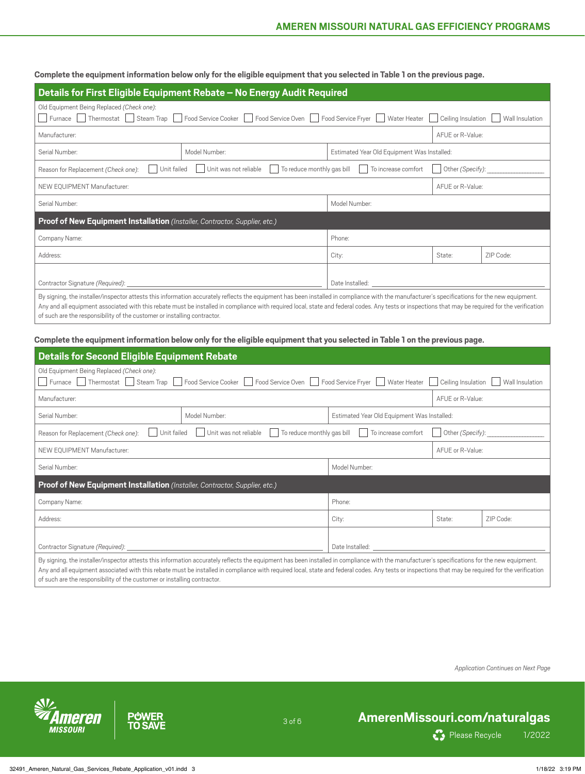**Complete the equipment information below only for the eligible equipment that you selected in Table 1 on the previous page.**

| Details for First Eligible Equipment Rebate - No Energy Audit Required                                                                                                                                                                                                |                                                     |                                             |                  |           |
|-----------------------------------------------------------------------------------------------------------------------------------------------------------------------------------------------------------------------------------------------------------------------|-----------------------------------------------------|---------------------------------------------|------------------|-----------|
| Old Equipment Being Replaced (Check one):<br>Furnace   Thermostat   Steam Trap   Food Service Cooker   Food Service Oven   Food Service Fryer   Water Heater<br>Ceiling Insulation<br>Wall Insulation                                                                 |                                                     |                                             |                  |           |
| Manufacturer:                                                                                                                                                                                                                                                         |                                                     |                                             | AFUE or R-Value: |           |
| Serial Number:                                                                                                                                                                                                                                                        | Model Number:                                       | Estimated Year Old Equipment Was Installed: |                  |           |
| Unit failed<br>Reason for Replacement (Check one):                                                                                                                                                                                                                    | To reduce monthly gas bill<br>Unit was not reliable | To increase comfort                         | Other (Specify): |           |
| NEW EQUIPMENT Manufacturer:                                                                                                                                                                                                                                           |                                                     |                                             | AFUE or R-Value: |           |
| Serial Number:                                                                                                                                                                                                                                                        | Model Number:                                       |                                             |                  |           |
| <b>Proof of New Equipment Installation</b> (Installer, Contractor, Supplier, etc.)                                                                                                                                                                                    |                                                     |                                             |                  |           |
| Company Name:                                                                                                                                                                                                                                                         |                                                     | Phone:                                      |                  |           |
| Address:                                                                                                                                                                                                                                                              |                                                     | City:                                       | State:           | ZIP Code: |
|                                                                                                                                                                                                                                                                       |                                                     |                                             |                  |           |
| Contractor Signature (Required): __<br>Date Installed: Note that the state of the state of the state of the state of the state of the state of the state of the state of the state of the state of the state of the state of the state of the state of the state of t |                                                     |                                             |                  |           |
| By signing, the installer/inspector attests this information accurately reflects the equipment has been installed in compliance with the manufacturer's specifications for the new equipment.                                                                         |                                                     |                                             |                  |           |

Any and all equipment associated with this rebate must be installed in compliance with required local, state and federal codes. Any tests or inspections that may be required for the verification of such are the responsibility of the customer or installing contractor.

**Complete the equipment information below only for the eligible equipment that you selected in Table 1 on the previous page.**

| <b>Details for Second Eligible Equipment Rebate</b>                                                                                                                                                                                                                                                                                                                                                                                                                             |                                                                                    |                                             |                  |           |  |
|---------------------------------------------------------------------------------------------------------------------------------------------------------------------------------------------------------------------------------------------------------------------------------------------------------------------------------------------------------------------------------------------------------------------------------------------------------------------------------|------------------------------------------------------------------------------------|---------------------------------------------|------------------|-----------|--|
| Old Equipment Being Replaced (Check one):<br>Furnace Thermostat Steam Trap<br>Food Service Cooker     Food Service Oven     Food Service Fryer<br>Water Heater<br>Ceiling Insulation<br>Wall Insulation                                                                                                                                                                                                                                                                         |                                                                                    |                                             |                  |           |  |
| Manufacturer:                                                                                                                                                                                                                                                                                                                                                                                                                                                                   |                                                                                    |                                             | AFUE or R-Value: |           |  |
| Serial Number:                                                                                                                                                                                                                                                                                                                                                                                                                                                                  | Model Number:                                                                      | Estimated Year Old Equipment Was Installed: |                  |           |  |
| Unit failed<br>Reason for Replacement (Check one):                                                                                                                                                                                                                                                                                                                                                                                                                              | To reduce monthly gas bill<br>Unit was not reliable                                | To increase comfort                         | Other (Specify): |           |  |
| NEW EQUIPMENT Manufacturer:                                                                                                                                                                                                                                                                                                                                                                                                                                                     |                                                                                    |                                             | AFUE or R-Value: |           |  |
| Model Number:<br>Serial Number:                                                                                                                                                                                                                                                                                                                                                                                                                                                 |                                                                                    |                                             |                  |           |  |
|                                                                                                                                                                                                                                                                                                                                                                                                                                                                                 | <b>Proof of New Equipment Installation</b> (Installer, Contractor, Supplier, etc.) |                                             |                  |           |  |
| Company Name:                                                                                                                                                                                                                                                                                                                                                                                                                                                                   |                                                                                    | Phone:                                      |                  |           |  |
| Address:                                                                                                                                                                                                                                                                                                                                                                                                                                                                        |                                                                                    | City:                                       | State:           | ZIP Code: |  |
| Date Installed: The Contract of the United States of the United States of the United States of the United States<br>Contractor Signature (Required):                                                                                                                                                                                                                                                                                                                            |                                                                                    |                                             |                  |           |  |
| By signing, the installer/inspector attests this information accurately reflects the equipment has been installed in compliance with the manufacturer's specifications for the new equipment.<br>Any and all equipment associated with this rebate must be installed in compliance with required local, state and federal codes. Any tests or inspections that may be required for the verification<br>of such are the responsibility of the customer or installing contractor. |                                                                                    |                                             |                  |           |  |

3 of 6

*Application Continues on Next Page*





## **[AmerenMissouri.com/naturalgas](http://AmerenMissouri.com/naturalgas)**

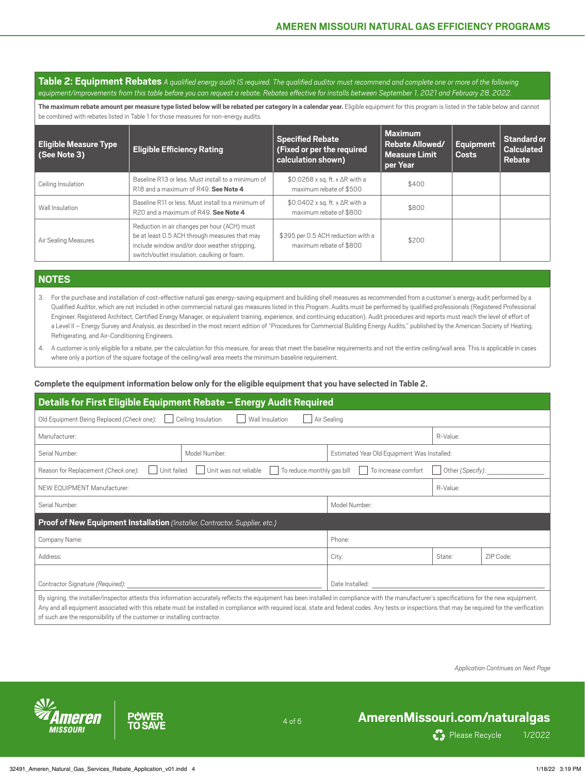**Table 2: Equipment Rebates** *A qualified energy audit IS required. The qualified auditor must recommend and complete one or more of the following equipment/improvements from this table before you can request a rebate. Rebates effective for installs between September 1, 2021 and February 28, 2022.*

The maximum rebate amount per measure type listed below will be rebated per category in a calendar year. Eligible equipment for this program is listed in the table below and cannot be combined with rebates listed in Table 1 for those measures for non-energy audits.

| <b>Eligible Measure Type</b><br>(See Note 3) | <b>Eligible Efficiency Rating</b>                                                                                                                                                             | <b>Specified Rebate</b><br>(Fixed or per the required<br>calculation shown)    | <b>Maximum</b><br><b>Rebate Allowed/</b><br><b>Measure Limit</b><br>per Year | <b>Equipment</b><br><b>Costs</b> | <b>Standard or</b><br><b>Calculated</b><br>Rebate |
|----------------------------------------------|-----------------------------------------------------------------------------------------------------------------------------------------------------------------------------------------------|--------------------------------------------------------------------------------|------------------------------------------------------------------------------|----------------------------------|---------------------------------------------------|
| Ceiling Insulation                           | Baseline R13 or less. Must install to a minimum of<br>R18 and a maximum of R49. See Note 4                                                                                                    | $$0.0268 \times$ sq. ft. x $\Delta$ R with a<br>maximum rebate of \$500        | \$400                                                                        |                                  |                                                   |
| Wall Insulation                              | Baseline R11 or less. Must install to a minimum of<br>R20 and a maximum of R49. See Note 4                                                                                                    | $$0.0402 \times sq.$ ft. $\times$ $\Delta$ R with a<br>maximum rebate of \$800 | \$800                                                                        |                                  |                                                   |
| Air Sealing Measures                         | Reduction in air changes per hour (ACH) must<br>be at least 0.5 ACH through measures that may<br>include window and/or door weather stripping,<br>switch/outlet insulation, caulking or foam. | \$395 per 0.5 ACH reduction with a<br>maximum rebate of \$800                  | \$200                                                                        |                                  |                                                   |

### **NOTES**

3. For the purchase and installation of cost-effective natural gas energy-saving equipment and building shell measures as recommended from a customer's energy audit performed by a Qualified Auditor, which are not included in other commercial natural gas measures listed in this Program. Audits must be performed by qualified professionals (Registered Professional Engineer, Registered Architect, Certified Energy Manager, or equivalent training, experience, and continuing education). Audit procedures and reports must reach the level of effort of a Level II – Energy Survey and Analysis, as described in the most recent edition of "Procedures for Commercial Building Energy Audits," published by the American Society of Heating, Refrigerating, and Air-Conditioning Engineers.

4. A customer is only eligible for a rebate, per the calculation for this measure, for areas that meet the baseline requirements and not the entire ceiling/wall area. This is applicable in cases where only a portion of the square footage of the ceiling/wall area meets the minimum baseline requirement.

### **Complete the equipment information below only for the eligible equipment that you have selected in Table 2.**

| Details for First Eligible Equipment Rebate - Energy Audit Required                                                                                                                                                                                                                                                                                                                                 |                                                     |                                             |                  |           |  |
|-----------------------------------------------------------------------------------------------------------------------------------------------------------------------------------------------------------------------------------------------------------------------------------------------------------------------------------------------------------------------------------------------------|-----------------------------------------------------|---------------------------------------------|------------------|-----------|--|
| Ceiling Insulation<br>Air Sealing<br>Old Equipment Being Replaced (Check one):<br>Wall Insulation                                                                                                                                                                                                                                                                                                   |                                                     |                                             |                  |           |  |
| Manufacturer:                                                                                                                                                                                                                                                                                                                                                                                       |                                                     |                                             | R-Value:         |           |  |
| Serial Number:                                                                                                                                                                                                                                                                                                                                                                                      | Model Number:                                       | Estimated Year Old Equipment Was Installed: |                  |           |  |
| Unit failed<br>Reason for Replacement (Check one):                                                                                                                                                                                                                                                                                                                                                  | To reduce monthly gas bill<br>Unit was not reliable | To increase comfort                         | Other (Specify): |           |  |
| NEW EQUIPMENT Manufacturer:                                                                                                                                                                                                                                                                                                                                                                         | R-Value:                                            |                                             |                  |           |  |
| Serial Number:<br>Model Number:                                                                                                                                                                                                                                                                                                                                                                     |                                                     |                                             |                  |           |  |
| Proof of New Equipment Installation (Installer, Contractor, Supplier, etc.)                                                                                                                                                                                                                                                                                                                         |                                                     |                                             |                  |           |  |
| Company Name:                                                                                                                                                                                                                                                                                                                                                                                       |                                                     | Phone:                                      |                  |           |  |
| Address:                                                                                                                                                                                                                                                                                                                                                                                            |                                                     | City:                                       | State:           | ZIP Code: |  |
|                                                                                                                                                                                                                                                                                                                                                                                                     |                                                     |                                             |                  |           |  |
| Contractor Signature (Required):<br>Date Installed:                                                                                                                                                                                                                                                                                                                                                 |                                                     |                                             |                  |           |  |
| By signing, the installer/inspector attests this information accurately reflects the equipment has been installed in compliance with the manufacturer's specifications for the new equipment.<br>Any and all equipment associated with this rebate must be installed in compliance with required local, state and federal codes. Any tests or inspections that may be required for the verification |                                                     |                                             |                  |           |  |

4 of 6

of such are the responsibility of the customer or installing contractor.

*Application Continues on Next Page*





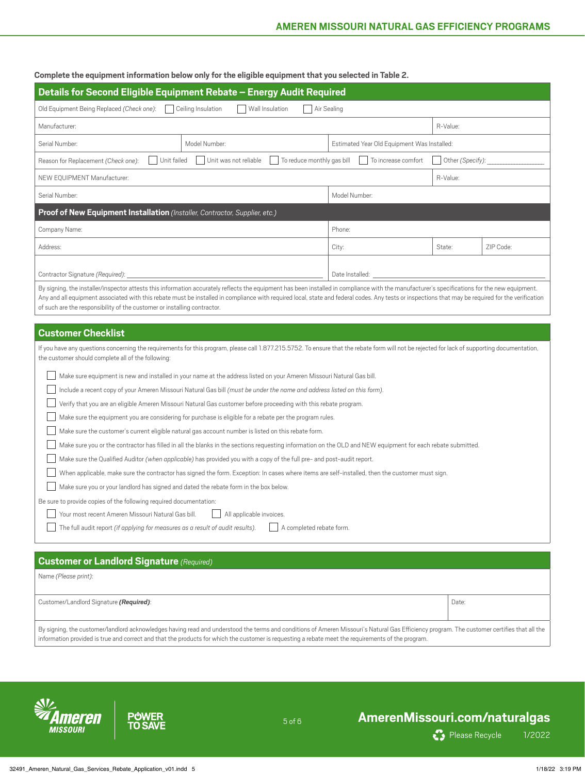**Complete the equipment information below only for the eligible equipment that you selected in Table 2.**

| Details for Second Eligible Equipment Rebate - Energy Audit Required                                                                                 |               |                                             |          |           |
|------------------------------------------------------------------------------------------------------------------------------------------------------|---------------|---------------------------------------------|----------|-----------|
| Wall Insulation<br>Ceiling Insulation<br>Air Sealing<br>Old Equipment Being Replaced (Check one):                                                    |               |                                             |          |           |
| Manufacturer:                                                                                                                                        |               |                                             | R-Value: |           |
| Serial Number:                                                                                                                                       | Model Number: | Estimated Year Old Equipment Was Installed: |          |           |
| Unit was not reliable<br>To reduce monthly gas bill<br>To increase comfort<br>Other (Specify):<br>Unit failed<br>Reason for Replacement (Check one): |               |                                             |          |           |
| NEW EQUIPMENT Manufacturer:<br>R-Value:                                                                                                              |               |                                             |          |           |
| Serial Number:                                                                                                                                       | Model Number: |                                             |          |           |
| Proof of New Equipment Installation (Installer, Contractor, Supplier, etc.)                                                                          |               |                                             |          |           |
| Company Name:                                                                                                                                        |               | Phone:                                      |          |           |
| Address:                                                                                                                                             |               | City:                                       | State:   | ZIP Code: |
|                                                                                                                                                      |               |                                             |          |           |
| Contractor Signature (Required):<br>Date Installed:                                                                                                  |               |                                             |          |           |

By signing, the installer/inspector attests this information accurately reflects the equipment has been installed in compliance with the manufacturer's specifications for the new equipment. Any and all equipment associated with this rebate must be installed in compliance with required local, state and federal codes. Any tests or inspections that may be required for the verification of such are the responsibility of the customer or installing contractor.

## **Customer Checklist**

| If you have any questions concerning the requirements for this program, please call 1.877.215.5752. To ensure that the rebate form will not be rejected for lack of supporting documentation, |
|-----------------------------------------------------------------------------------------------------------------------------------------------------------------------------------------------|
| the customer should complete all of the following:                                                                                                                                            |

| Make sure equipment is new and installed in your name at the address listed on your Ameren Missouri Natural Gas bill.                                       |
|-------------------------------------------------------------------------------------------------------------------------------------------------------------|
| Include a recent copy of your Ameren Missouri Natural Gas bill (must be under the name and address listed on this form).                                    |
| Verify that you are an eligible Ameren Missouri Natural Gas customer before proceeding with this rebate program.                                            |
| Make sure the equipment you are considering for purchase is eligible for a rebate per the program rules.                                                    |
| Make sure the customer's current eligible natural gas account number is listed on this rebate form.                                                         |
| Make sure you or the contractor has filled in all the blanks in the sections requesting information on the OLD and NEW equipment for each rebate submitted. |
| Make sure the Qualified Auditor (when applicable) has provided you with a copy of the full pre- and post-audit report.                                      |
| When applicable, make sure the contractor has signed the form. Exception: In cases where items are self-installed, then the customer must sign.             |
| Make sure you or your landlord has signed and dated the rebate form in the box below.                                                                       |
| Be sure to provide copies of the following required documentation:                                                                                          |
| Your most recent Ameren Missouri Natural Gas bill.<br>All applicable invoices.                                                                              |
| The full audit report (if applying for measures as a result of audit results).<br>A completed rebate form.                                                  |
|                                                                                                                                                             |

| <b>Customer or Landlord Signature</b> (Required)                                                                                                                                                                                                                                                                                                  |       |
|---------------------------------------------------------------------------------------------------------------------------------------------------------------------------------------------------------------------------------------------------------------------------------------------------------------------------------------------------|-------|
| Name (Please print):                                                                                                                                                                                                                                                                                                                              |       |
| Customer/Landlord Signature (Required):                                                                                                                                                                                                                                                                                                           | Date: |
| By signing, the customer/landlord acknowledges having read and understood the terms and conditions of Ameren Missouri's Natural Gas Efficiency program. The customer certifies that all the<br>information provided is true and correct and that the products for which the customer is requesting a rebate meet the requirements of the program. |       |

5 of 6